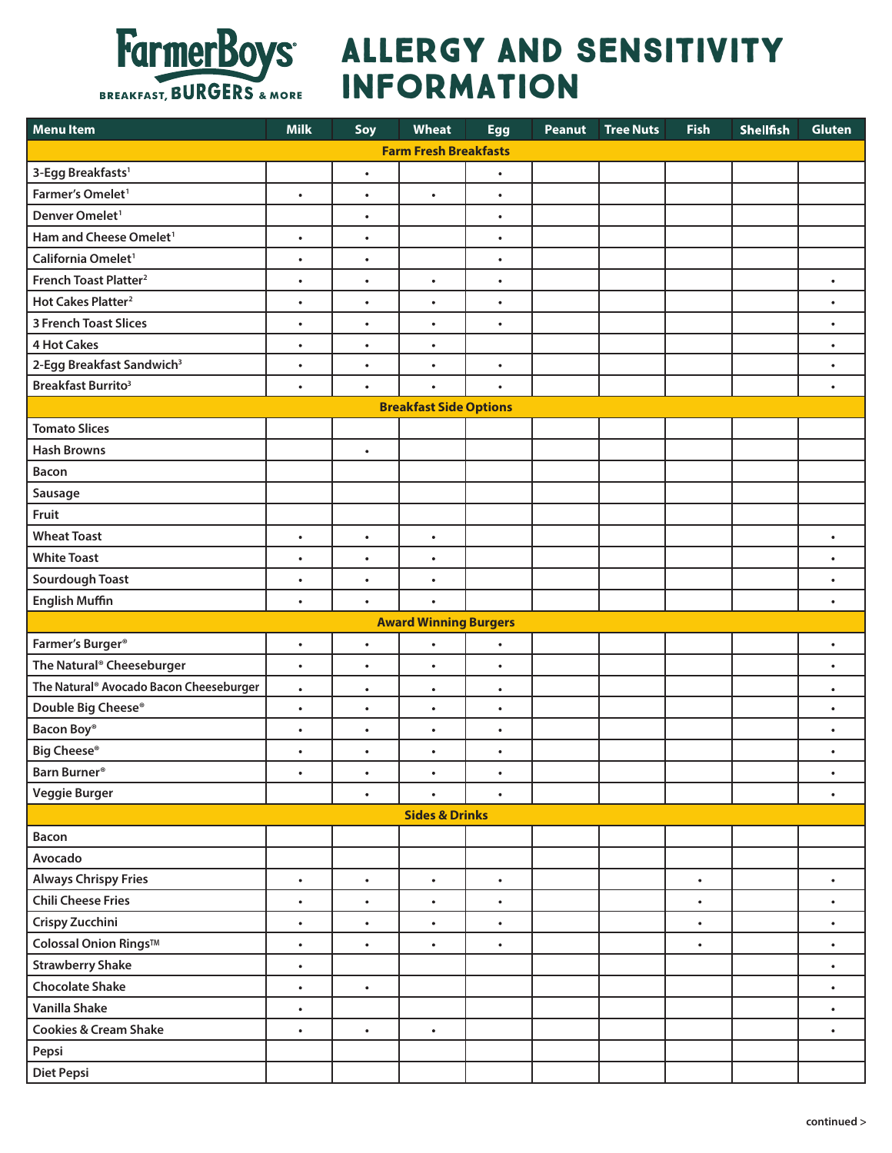

## FarmerBoys ALLERGY AND SENSITIVITY **INFORMATION**

| <b>Menultem</b>                         | <b>Milk</b> | Soy       | Wheat                         | <b>Egg</b> | Peanut | <b>Tree Nuts</b> | <b>Fish</b> | <b>Shellfish</b> | <b>Gluten</b> |
|-----------------------------------------|-------------|-----------|-------------------------------|------------|--------|------------------|-------------|------------------|---------------|
| <b>Farm Fresh Breakfasts</b>            |             |           |                               |            |        |                  |             |                  |               |
| 3-Egg Breakfasts <sup>1</sup>           |             | $\bullet$ |                               | $\bullet$  |        |                  |             |                  |               |
| Farmer's Omelet <sup>1</sup>            | $\bullet$   | $\bullet$ | $\bullet$                     | $\bullet$  |        |                  |             |                  |               |
| Denver Omelet <sup>1</sup>              |             | $\bullet$ |                               | ٠          |        |                  |             |                  |               |
| Ham and Cheese Omelet <sup>1</sup>      | $\bullet$   | $\bullet$ |                               | $\bullet$  |        |                  |             |                  |               |
| California Omelet <sup>1</sup>          | $\bullet$   | $\bullet$ |                               | ٠          |        |                  |             |                  |               |
| French Toast Platter <sup>2</sup>       | $\bullet$   | $\bullet$ | $\bullet$                     | $\bullet$  |        |                  |             |                  | $\bullet$     |
| Hot Cakes Platter <sup>2</sup>          | $\bullet$   | $\bullet$ | $\bullet$                     | $\bullet$  |        |                  |             |                  | $\bullet$     |
| <b>3 French Toast Slices</b>            | $\bullet$   | $\bullet$ | $\bullet$                     | $\bullet$  |        |                  |             |                  | $\bullet$     |
| <b>4 Hot Cakes</b>                      | $\bullet$   | $\bullet$ | $\bullet$                     |            |        |                  |             |                  | $\bullet$     |
| 2-Egg Breakfast Sandwich <sup>3</sup>   | $\bullet$   | $\bullet$ | $\bullet$                     | $\bullet$  |        |                  |             |                  | $\bullet$     |
| <b>Breakfast Burrito3</b>               | $\bullet$   | $\bullet$ | $\bullet$                     | $\bullet$  |        |                  |             |                  | $\bullet$     |
|                                         |             |           | <b>Breakfast Side Options</b> |            |        |                  |             |                  |               |
| <b>Tomato Slices</b>                    |             |           |                               |            |        |                  |             |                  |               |
| <b>Hash Browns</b>                      |             | $\bullet$ |                               |            |        |                  |             |                  |               |
| <b>Bacon</b>                            |             |           |                               |            |        |                  |             |                  |               |
| Sausage                                 |             |           |                               |            |        |                  |             |                  |               |
| Fruit                                   |             |           |                               |            |        |                  |             |                  |               |
| <b>Wheat Toast</b>                      | $\bullet$   | $\bullet$ | $\bullet$                     |            |        |                  |             |                  | $\bullet$     |
| <b>White Toast</b>                      | $\bullet$   | $\bullet$ | $\bullet$                     |            |        |                  |             |                  | $\bullet$     |
| <b>Sourdough Toast</b>                  | $\bullet$   | $\bullet$ | $\bullet$                     |            |        |                  |             |                  | $\bullet$     |
| <b>English Muffin</b>                   | $\bullet$   | $\bullet$ | $\bullet$                     |            |        |                  |             |                  | $\bullet$     |
|                                         |             |           | <b>Award Winning Burgers</b>  |            |        |                  |             |                  |               |
| Farmer's Burger <sup>®</sup>            | $\bullet$   | $\bullet$ | $\bullet$                     | ٠          |        |                  |             |                  | $\bullet$     |
| The Natural® Cheeseburger               | $\bullet$   | $\bullet$ | $\bullet$                     | $\bullet$  |        |                  |             |                  | $\bullet$     |
| The Natural® Avocado Bacon Cheeseburger | $\bullet$   | $\bullet$ | $\bullet$                     | $\bullet$  |        |                  |             |                  | $\bullet$     |
| Double Big Cheese®                      | $\bullet$   | $\bullet$ | $\bullet$                     | $\bullet$  |        |                  |             |                  | ٠             |
| Bacon Boy®                              | $\bullet$   | $\bullet$ | $\bullet$                     | $\bullet$  |        |                  |             |                  | $\bullet$     |
| <b>Big Cheese®</b>                      | $\bullet$   | $\bullet$ | $\bullet$                     | $\bullet$  |        |                  |             |                  | $\bullet$     |
| Barn Burner <sup>®</sup>                | ٠           | ٠         | ٠                             | $\bullet$  |        |                  |             |                  | ٠             |
| <b>Veggie Burger</b>                    |             | $\bullet$ |                               |            |        |                  |             |                  | $\bullet$     |
| <b>Sides &amp; Drinks</b>               |             |           |                               |            |        |                  |             |                  |               |
| <b>Bacon</b>                            |             |           |                               |            |        |                  |             |                  |               |
|                                         |             |           |                               |            |        |                  |             |                  |               |
| Avocado                                 |             |           |                               |            |        |                  |             |                  |               |
| <b>Always Chrispy Fries</b>             | $\bullet$   | $\bullet$ | $\bullet$                     | $\bullet$  |        |                  | $\bullet$   |                  | $\bullet$     |
| <b>Chili Cheese Fries</b>               | $\bullet$   | $\bullet$ | $\bullet$                     | ٠          |        |                  | $\bullet$   |                  | $\bullet$     |
| Crispy Zucchini                         | $\bullet$   | $\bullet$ | $\bullet$                     | ٠          |        |                  | $\bullet$   |                  | $\bullet$     |
| Colossal Onion Rings™                   | $\bullet$   | $\bullet$ | $\bullet$                     | $\bullet$  |        |                  | ٠           |                  | $\bullet$     |
| <b>Strawberry Shake</b>                 | $\bullet$   |           |                               |            |        |                  |             |                  | $\bullet$     |
| <b>Chocolate Shake</b>                  | $\bullet$   | $\bullet$ |                               |            |        |                  |             |                  | $\bullet$     |
| <b>Vanilla Shake</b>                    | $\bullet$   |           |                               |            |        |                  |             |                  | $\bullet$     |
| <b>Cookies &amp; Cream Shake</b>        | $\bullet$   | $\bullet$ | $\bullet$                     |            |        |                  |             |                  | $\bullet$     |
| Pepsi                                   |             |           |                               |            |        |                  |             |                  |               |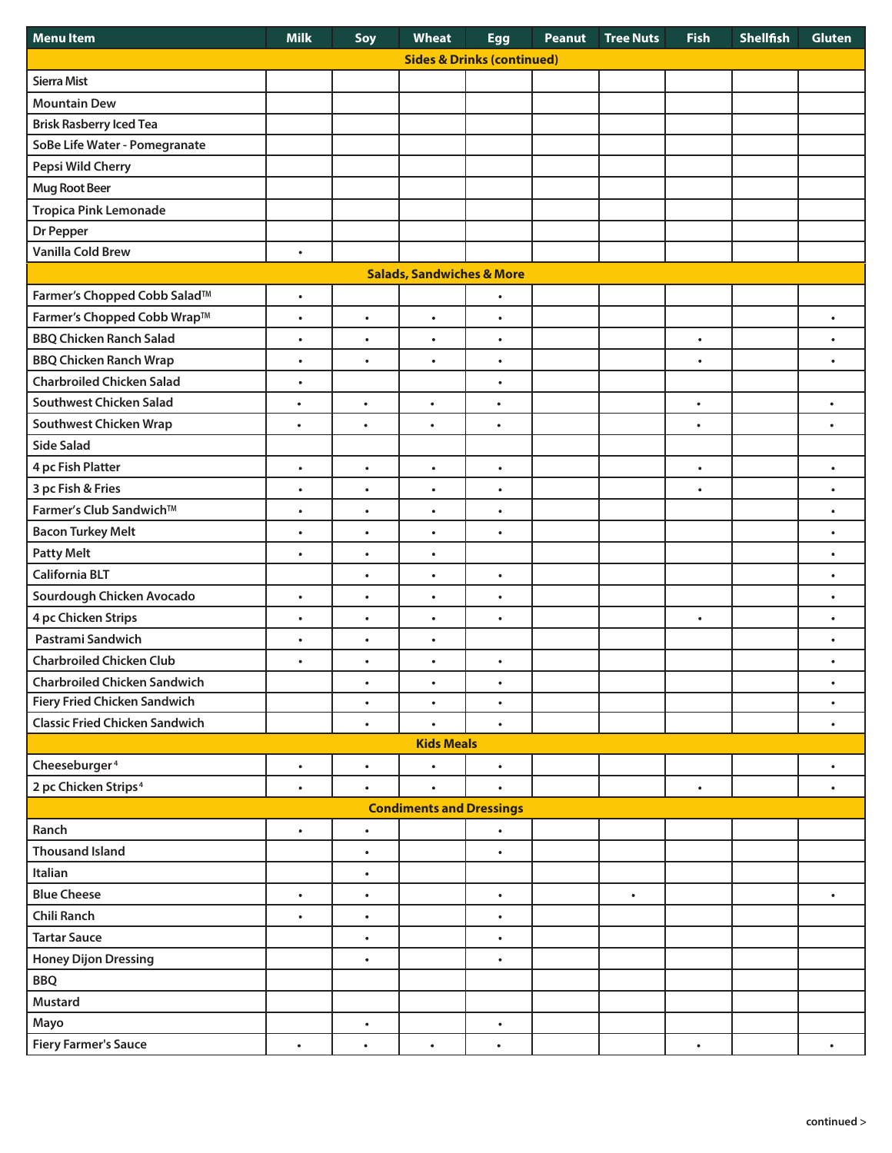| <b>Menultem</b>                       | <b>Milk</b> | Soy       | <b>Wheat</b>      | <b>Egg</b> | Peanut | <b>Tree Nuts</b> | <b>Fish</b> | <b>Shellfish</b> | <b>Gluten</b> |  |
|---------------------------------------|-------------|-----------|-------------------|------------|--------|------------------|-------------|------------------|---------------|--|
| <b>Sides &amp; Drinks (continued)</b> |             |           |                   |            |        |                  |             |                  |               |  |
| <b>Sierra Mist</b>                    |             |           |                   |            |        |                  |             |                  |               |  |
| <b>Mountain Dew</b>                   |             |           |                   |            |        |                  |             |                  |               |  |
| <b>Brisk Rasberry Iced Tea</b>        |             |           |                   |            |        |                  |             |                  |               |  |
| SoBe Life Water - Pomegranate         |             |           |                   |            |        |                  |             |                  |               |  |
| Pepsi Wild Cherry                     |             |           |                   |            |        |                  |             |                  |               |  |
| <b>Mug Root Beer</b>                  |             |           |                   |            |        |                  |             |                  |               |  |
| <b>Tropica Pink Lemonade</b>          |             |           |                   |            |        |                  |             |                  |               |  |
| Dr Pepper                             |             |           |                   |            |        |                  |             |                  |               |  |
| <b>Vanilla Cold Brew</b>              | $\bullet$   |           |                   |            |        |                  |             |                  |               |  |
| <b>Salads, Sandwiches &amp; More</b>  |             |           |                   |            |        |                  |             |                  |               |  |
| Farmer's Chopped Cobb Salad™          | $\bullet$   |           |                   | $\bullet$  |        |                  |             |                  |               |  |
| Farmer's Chopped Cobb Wrap™           | $\bullet$   | $\bullet$ | $\bullet$         | $\bullet$  |        |                  |             |                  | $\bullet$     |  |
| <b>BBQ Chicken Ranch Salad</b>        | $\bullet$   | $\bullet$ | $\bullet$         | $\bullet$  |        |                  | $\bullet$   |                  | $\bullet$     |  |
| <b>BBQ Chicken Ranch Wrap</b>         | $\bullet$   | ٠         | $\bullet$         | $\bullet$  |        |                  | $\bullet$   |                  | $\bullet$     |  |
| <b>Charbroiled Chicken Salad</b>      | $\bullet$   |           |                   | $\bullet$  |        |                  |             |                  |               |  |
| <b>Southwest Chicken Salad</b>        | $\bullet$   | $\bullet$ | $\bullet$         | ٠          |        |                  | $\bullet$   |                  | $\bullet$     |  |
| <b>Southwest Chicken Wrap</b>         | $\bullet$   | $\bullet$ | $\bullet$         | $\bullet$  |        |                  | $\bullet$   |                  | $\bullet$     |  |
| <b>Side Salad</b>                     |             |           |                   |            |        |                  |             |                  |               |  |
| 4 pc Fish Platter                     | $\bullet$   | $\bullet$ | $\bullet$         | $\bullet$  |        |                  | $\bullet$   |                  | $\bullet$     |  |
| 3 pc Fish & Fries                     | $\bullet$   | $\bullet$ | $\bullet$         | $\bullet$  |        |                  | $\bullet$   |                  | $\bullet$     |  |
| Farmer's Club Sandwich™               | $\bullet$   | $\bullet$ | $\bullet$         | $\bullet$  |        |                  |             |                  | $\bullet$     |  |
| <b>Bacon Turkey Melt</b>              | $\bullet$   | $\bullet$ | $\bullet$         | $\bullet$  |        |                  |             |                  | $\bullet$     |  |
| <b>Patty Melt</b>                     | $\bullet$   | $\bullet$ | $\bullet$         |            |        |                  |             |                  | $\bullet$     |  |
| <b>California BLT</b>                 |             | $\bullet$ | $\bullet$         | $\bullet$  |        |                  |             |                  | $\bullet$     |  |
| Sourdough Chicken Avocado             | $\bullet$   | $\bullet$ | $\bullet$         | $\bullet$  |        |                  |             |                  | $\bullet$     |  |
| 4 pc Chicken Strips                   | $\bullet$   | $\bullet$ | $\bullet$         | $\bullet$  |        |                  | $\bullet$   |                  | $\bullet$     |  |
| Pastrami Sandwich                     | $\bullet$   | $\bullet$ | $\bullet$         |            |        |                  |             |                  | $\bullet$     |  |
| <b>Charbroiled Chicken Club</b>       | $\bullet$   | $\bullet$ | $\bullet$         | $\bullet$  |        |                  |             |                  | $\bullet$     |  |
| <b>Charbroiled Chicken Sandwich</b>   |             | $\bullet$ | $\bullet$         | $\bullet$  |        |                  |             |                  | ٠             |  |
| <b>Fiery Fried Chicken Sandwich</b>   |             | $\bullet$ | $\bullet$         | $\bullet$  |        |                  |             |                  | $\bullet$     |  |
| <b>Classic Fried Chicken Sandwich</b> |             | $\bullet$ | $\bullet$         | $\bullet$  |        |                  |             |                  | $\bullet$     |  |
|                                       |             |           | <b>Kids Meals</b> |            |        |                  |             |                  |               |  |
| Cheeseburger <sup>4</sup>             | $\bullet$   | $\bullet$ | $\bullet$         | $\bullet$  |        |                  |             |                  | $\bullet$     |  |
| 2 pc Chicken Strips <sup>4</sup>      | $\bullet$   | $\bullet$ | $\bullet$         | $\bullet$  |        |                  | $\bullet$   |                  | $\bullet$     |  |
| <b>Condiments and Dressings</b>       |             |           |                   |            |        |                  |             |                  |               |  |
| Ranch                                 | $\bullet$   | $\bullet$ |                   | $\bullet$  |        |                  |             |                  |               |  |
| <b>Thousand Island</b>                |             | $\bullet$ |                   | $\bullet$  |        |                  |             |                  |               |  |
| Italian                               |             | $\bullet$ |                   |            |        |                  |             |                  |               |  |
| <b>Blue Cheese</b>                    | $\bullet$   | $\bullet$ |                   | $\bullet$  |        | $\bullet$        |             |                  | $\bullet$     |  |
| <b>Chili Ranch</b>                    | $\bullet$   | $\bullet$ |                   | $\bullet$  |        |                  |             |                  |               |  |
| <b>Tartar Sauce</b>                   |             | $\bullet$ |                   | $\bullet$  |        |                  |             |                  |               |  |
| <b>Honey Dijon Dressing</b>           |             | $\bullet$ |                   | $\bullet$  |        |                  |             |                  |               |  |
| <b>BBQ</b>                            |             |           |                   |            |        |                  |             |                  |               |  |
| <b>Mustard</b>                        |             |           |                   |            |        |                  |             |                  |               |  |
| Mayo                                  |             | $\bullet$ |                   | $\bullet$  |        |                  |             |                  |               |  |
| <b>Fiery Farmer's Sauce</b>           | $\bullet$   | $\bullet$ | $\bullet$         | $\bullet$  |        |                  | $\bullet$   |                  | $\bullet$     |  |